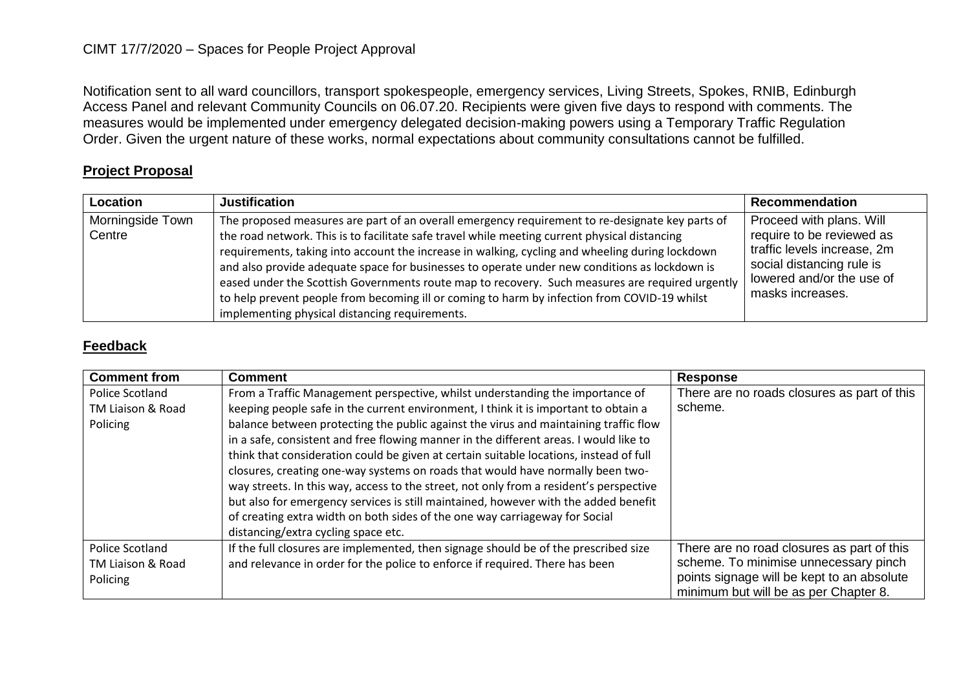## CIMT 17/7/2020 – Spaces for People Project Approval

Notification sent to all ward councillors, transport spokespeople, emergency services, Living Streets, Spokes, RNIB, Edinburgh Access Panel and relevant Community Councils on 06.07.20. Recipients were given five days to respond with comments. The measures would be implemented under emergency delegated decision-making powers using a Temporary Traffic Regulation Order. Given the urgent nature of these works, normal expectations about community consultations cannot be fulfilled.

## **Project Proposal**

| Location                   | <b>Justification</b>                                                                                                                                                                                                                                                                                                                                                                                                                                                                                                                                                                                                                                      | <b>Recommendation</b>                                                                                                                                              |
|----------------------------|-----------------------------------------------------------------------------------------------------------------------------------------------------------------------------------------------------------------------------------------------------------------------------------------------------------------------------------------------------------------------------------------------------------------------------------------------------------------------------------------------------------------------------------------------------------------------------------------------------------------------------------------------------------|--------------------------------------------------------------------------------------------------------------------------------------------------------------------|
| Morningside Town<br>Centre | The proposed measures are part of an overall emergency requirement to re-designate key parts of<br>the road network. This is to facilitate safe travel while meeting current physical distancing<br>requirements, taking into account the increase in walking, cycling and wheeling during lockdown<br>and also provide adequate space for businesses to operate under new conditions as lockdown is<br>eased under the Scottish Governments route map to recovery. Such measures are required urgently<br>to help prevent people from becoming ill or coming to harm by infection from COVID-19 whilst<br>implementing physical distancing requirements. | Proceed with plans. Will<br>require to be reviewed as<br>traffic levels increase, 2m<br>social distancing rule is<br>lowered and/or the use of<br>masks increases. |

## **Feedback**

| <b>Comment from</b> | <b>Comment</b>                                                                         | <b>Response</b>                             |
|---------------------|----------------------------------------------------------------------------------------|---------------------------------------------|
| Police Scotland     | From a Traffic Management perspective, whilst understanding the importance of          | There are no roads closures as part of this |
| TM Liaison & Road   | keeping people safe in the current environment, I think it is important to obtain a    | scheme.                                     |
| Policing            | balance between protecting the public against the virus and maintaining traffic flow   |                                             |
|                     | in a safe, consistent and free flowing manner in the different areas. I would like to  |                                             |
|                     | think that consideration could be given at certain suitable locations, instead of full |                                             |
|                     | closures, creating one-way systems on roads that would have normally been two-         |                                             |
|                     | way streets. In this way, access to the street, not only from a resident's perspective |                                             |
|                     | but also for emergency services is still maintained, however with the added benefit    |                                             |
|                     | of creating extra width on both sides of the one way carriageway for Social            |                                             |
|                     | distancing/extra cycling space etc.                                                    |                                             |
| Police Scotland     | If the full closures are implemented, then signage should be of the prescribed size    | There are no road closures as part of this  |
| TM Liaison & Road   | and relevance in order for the police to enforce if required. There has been           | scheme. To minimise unnecessary pinch       |
| Policing            |                                                                                        | points signage will be kept to an absolute  |
|                     |                                                                                        | minimum but will be as per Chapter 8.       |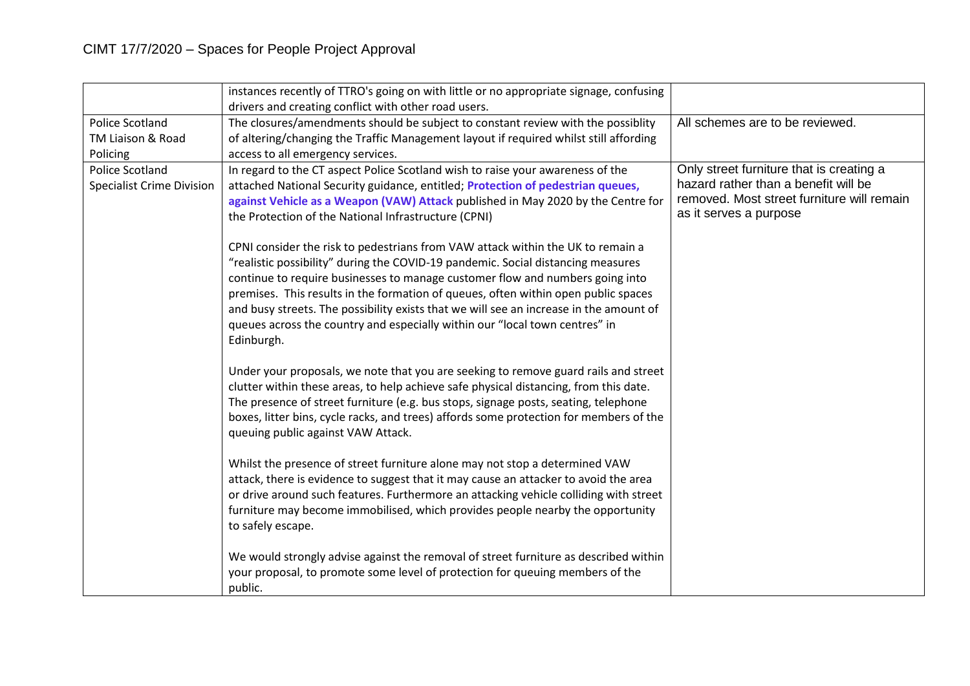|                                  | instances recently of TTRO's going on with little or no appropriate signage, confusing |                                            |
|----------------------------------|----------------------------------------------------------------------------------------|--------------------------------------------|
|                                  | drivers and creating conflict with other road users.                                   |                                            |
| <b>Police Scotland</b>           | The closures/amendments should be subject to constant review with the possiblity       | All schemes are to be reviewed.            |
| TM Liaison & Road                | of altering/changing the Traffic Management layout if required whilst still affording  |                                            |
| Policing                         | access to all emergency services.                                                      |                                            |
| <b>Police Scotland</b>           | In regard to the CT aspect Police Scotland wish to raise your awareness of the         | Only street furniture that is creating a   |
| <b>Specialist Crime Division</b> | attached National Security guidance, entitled; Protection of pedestrian queues,        | hazard rather than a benefit will be       |
|                                  | against Vehicle as a Weapon (VAW) Attack published in May 2020 by the Centre for       | removed. Most street furniture will remain |
|                                  | the Protection of the National Infrastructure (CPNI)                                   | as it serves a purpose                     |
|                                  | CPNI consider the risk to pedestrians from VAW attack within the UK to remain a        |                                            |
|                                  | "realistic possibility" during the COVID-19 pandemic. Social distancing measures       |                                            |
|                                  | continue to require businesses to manage customer flow and numbers going into          |                                            |
|                                  | premises. This results in the formation of queues, often within open public spaces     |                                            |
|                                  | and busy streets. The possibility exists that we will see an increase in the amount of |                                            |
|                                  | queues across the country and especially within our "local town centres" in            |                                            |
|                                  | Edinburgh.                                                                             |                                            |
|                                  |                                                                                        |                                            |
|                                  | Under your proposals, we note that you are seeking to remove guard rails and street    |                                            |
|                                  | clutter within these areas, to help achieve safe physical distancing, from this date.  |                                            |
|                                  | The presence of street furniture (e.g. bus stops, signage posts, seating, telephone    |                                            |
|                                  | boxes, litter bins, cycle racks, and trees) affords some protection for members of the |                                            |
|                                  | queuing public against VAW Attack.                                                     |                                            |
|                                  | Whilst the presence of street furniture alone may not stop a determined VAW            |                                            |
|                                  | attack, there is evidence to suggest that it may cause an attacker to avoid the area   |                                            |
|                                  | or drive around such features. Furthermore an attacking vehicle colliding with street  |                                            |
|                                  | furniture may become immobilised, which provides people nearby the opportunity         |                                            |
|                                  | to safely escape.                                                                      |                                            |
|                                  |                                                                                        |                                            |
|                                  | We would strongly advise against the removal of street furniture as described within   |                                            |
|                                  | your proposal, to promote some level of protection for queuing members of the          |                                            |
|                                  | public.                                                                                |                                            |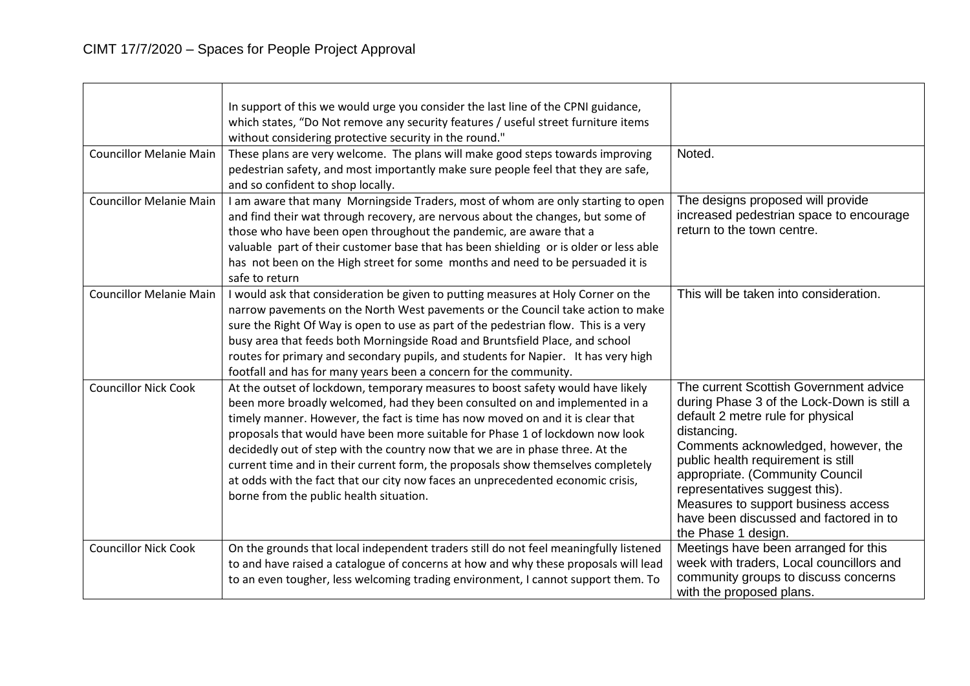|                                | In support of this we would urge you consider the last line of the CPNI guidance,                                                                                      |                                                                               |
|--------------------------------|------------------------------------------------------------------------------------------------------------------------------------------------------------------------|-------------------------------------------------------------------------------|
|                                | which states, "Do Not remove any security features / useful street furniture items                                                                                     |                                                                               |
|                                | without considering protective security in the round."                                                                                                                 |                                                                               |
| <b>Councillor Melanie Main</b> | These plans are very welcome. The plans will make good steps towards improving                                                                                         | Noted.                                                                        |
|                                | pedestrian safety, and most importantly make sure people feel that they are safe,                                                                                      |                                                                               |
|                                | and so confident to shop locally.                                                                                                                                      |                                                                               |
| <b>Councillor Melanie Main</b> | I am aware that many Morningside Traders, most of whom are only starting to open                                                                                       | The designs proposed will provide                                             |
|                                | and find their wat through recovery, are nervous about the changes, but some of                                                                                        | increased pedestrian space to encourage                                       |
|                                | those who have been open throughout the pandemic, are aware that a                                                                                                     | return to the town centre.                                                    |
|                                | valuable part of their customer base that has been shielding or is older or less able                                                                                  |                                                                               |
|                                | has not been on the High street for some months and need to be persuaded it is                                                                                         |                                                                               |
| <b>Councillor Melanie Main</b> | safe to return                                                                                                                                                         | This will be taken into consideration.                                        |
|                                | I would ask that consideration be given to putting measures at Holy Corner on the                                                                                      |                                                                               |
|                                | narrow pavements on the North West pavements or the Council take action to make<br>sure the Right Of Way is open to use as part of the pedestrian flow. This is a very |                                                                               |
|                                | busy area that feeds both Morningside Road and Bruntsfield Place, and school                                                                                           |                                                                               |
|                                | routes for primary and secondary pupils, and students for Napier. It has very high                                                                                     |                                                                               |
|                                | footfall and has for many years been a concern for the community.                                                                                                      |                                                                               |
| <b>Councillor Nick Cook</b>    | At the outset of lockdown, temporary measures to boost safety would have likely                                                                                        | The current Scottish Government advice                                        |
|                                | been more broadly welcomed, had they been consulted on and implemented in a                                                                                            | during Phase 3 of the Lock-Down is still a                                    |
|                                | timely manner. However, the fact is time has now moved on and it is clear that                                                                                         | default 2 metre rule for physical                                             |
|                                | proposals that would have been more suitable for Phase 1 of lockdown now look                                                                                          | distancing.                                                                   |
|                                | decidedly out of step with the country now that we are in phase three. At the                                                                                          | Comments acknowledged, however, the                                           |
|                                | current time and in their current form, the proposals show themselves completely                                                                                       | public health requirement is still                                            |
|                                | at odds with the fact that our city now faces an unprecedented economic crisis,                                                                                        | appropriate. (Community Council                                               |
|                                | borne from the public health situation.                                                                                                                                | representatives suggest this).                                                |
|                                |                                                                                                                                                                        | Measures to support business access<br>have been discussed and factored in to |
|                                |                                                                                                                                                                        | the Phase 1 design.                                                           |
| <b>Councillor Nick Cook</b>    | On the grounds that local independent traders still do not feel meaningfully listened                                                                                  | Meetings have been arranged for this                                          |
|                                | to and have raised a catalogue of concerns at how and why these proposals will lead                                                                                    | week with traders, Local councillors and                                      |
|                                | to an even tougher, less welcoming trading environment, I cannot support them. To                                                                                      | community groups to discuss concerns                                          |
|                                |                                                                                                                                                                        | with the proposed plans.                                                      |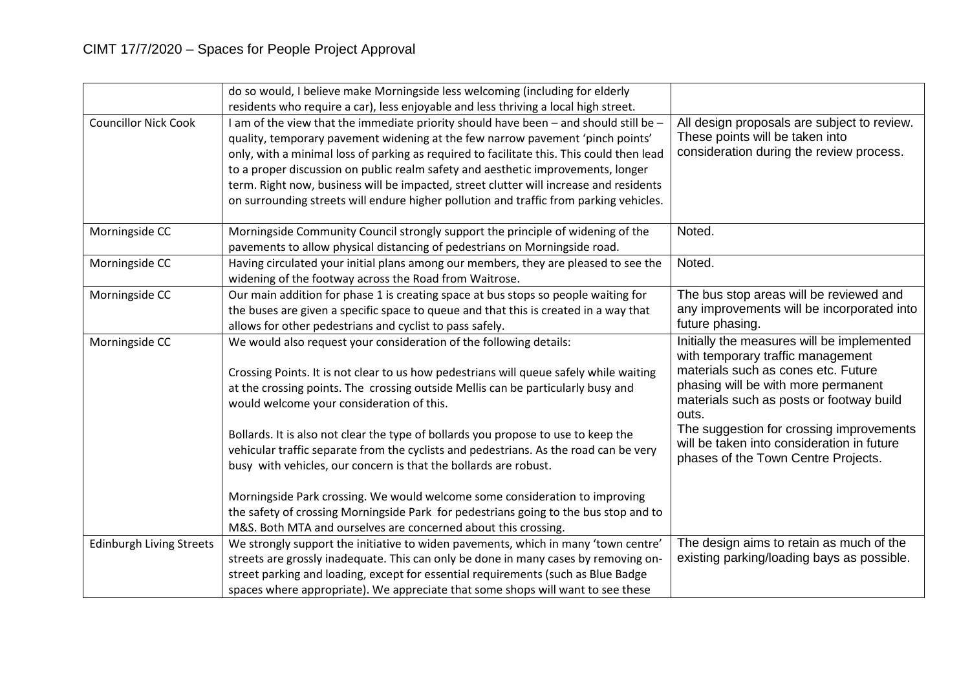|                                 | do so would, I believe make Morningside less welcoming (including for elderly                                                                                |                                                                                                                                                               |
|---------------------------------|--------------------------------------------------------------------------------------------------------------------------------------------------------------|---------------------------------------------------------------------------------------------------------------------------------------------------------------|
|                                 | residents who require a car), less enjoyable and less thriving a local high street.                                                                          |                                                                                                                                                               |
| <b>Councillor Nick Cook</b>     | I am of the view that the immediate priority should have been - and should still be -                                                                        | All design proposals are subject to review.                                                                                                                   |
|                                 | quality, temporary pavement widening at the few narrow pavement 'pinch points'                                                                               | These points will be taken into                                                                                                                               |
|                                 | only, with a minimal loss of parking as required to facilitate this. This could then lead                                                                    | consideration during the review process.                                                                                                                      |
|                                 | to a proper discussion on public realm safety and aesthetic improvements, longer                                                                             |                                                                                                                                                               |
|                                 | term. Right now, business will be impacted, street clutter will increase and residents                                                                       |                                                                                                                                                               |
|                                 | on surrounding streets will endure higher pollution and traffic from parking vehicles.                                                                       |                                                                                                                                                               |
| Morningside CC                  | Morningside Community Council strongly support the principle of widening of the                                                                              | Noted.                                                                                                                                                        |
|                                 | pavements to allow physical distancing of pedestrians on Morningside road.                                                                                   |                                                                                                                                                               |
| Morningside CC                  | Having circulated your initial plans among our members, they are pleased to see the                                                                          | Noted.                                                                                                                                                        |
|                                 | widening of the footway across the Road from Waitrose.                                                                                                       |                                                                                                                                                               |
| Morningside CC                  | Our main addition for phase 1 is creating space at bus stops so people waiting for                                                                           | The bus stop areas will be reviewed and                                                                                                                       |
|                                 | the buses are given a specific space to queue and that this is created in a way that                                                                         | any improvements will be incorporated into                                                                                                                    |
|                                 | allows for other pedestrians and cyclist to pass safely.                                                                                                     | future phasing.                                                                                                                                               |
| Morningside CC                  | We would also request your consideration of the following details:<br>Crossing Points. It is not clear to us how pedestrians will queue safely while waiting | Initially the measures will be implemented<br>with temporary traffic management<br>materials such as cones etc. Future<br>phasing will be with more permanent |
|                                 | at the crossing points. The crossing outside Mellis can be particularly busy and<br>would welcome your consideration of this.                                | materials such as posts or footway build<br>outs.                                                                                                             |
|                                 | Bollards. It is also not clear the type of bollards you propose to use to keep the                                                                           | The suggestion for crossing improvements                                                                                                                      |
|                                 | vehicular traffic separate from the cyclists and pedestrians. As the road can be very                                                                        | will be taken into consideration in future                                                                                                                    |
|                                 | busy with vehicles, our concern is that the bollards are robust.                                                                                             | phases of the Town Centre Projects.                                                                                                                           |
|                                 | Morningside Park crossing. We would welcome some consideration to improving                                                                                  |                                                                                                                                                               |
|                                 | the safety of crossing Morningside Park for pedestrians going to the bus stop and to                                                                         |                                                                                                                                                               |
|                                 | M&S. Both MTA and ourselves are concerned about this crossing.                                                                                               |                                                                                                                                                               |
| <b>Edinburgh Living Streets</b> | We strongly support the initiative to widen pavements, which in many 'town centre'                                                                           | The design aims to retain as much of the                                                                                                                      |
|                                 | streets are grossly inadequate. This can only be done in many cases by removing on-                                                                          | existing parking/loading bays as possible.                                                                                                                    |
|                                 | street parking and loading, except for essential requirements (such as Blue Badge                                                                            |                                                                                                                                                               |
|                                 | spaces where appropriate). We appreciate that some shops will want to see these                                                                              |                                                                                                                                                               |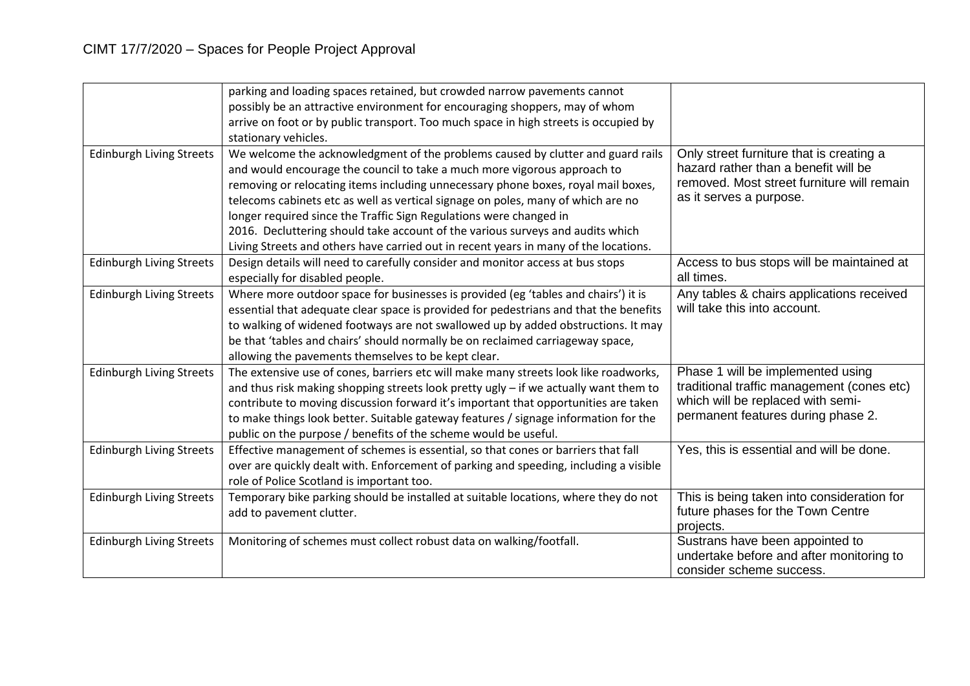|                                 | parking and loading spaces retained, but crowded narrow pavements cannot<br>possibly be an attractive environment for encouraging shoppers, may of whom<br>arrive on foot or by public transport. Too much space in high streets is occupied by<br>stationary vehicles.                                                                                                                                                                                                                                                                                                              |                                                                                                                                                            |
|---------------------------------|--------------------------------------------------------------------------------------------------------------------------------------------------------------------------------------------------------------------------------------------------------------------------------------------------------------------------------------------------------------------------------------------------------------------------------------------------------------------------------------------------------------------------------------------------------------------------------------|------------------------------------------------------------------------------------------------------------------------------------------------------------|
| <b>Edinburgh Living Streets</b> | We welcome the acknowledgment of the problems caused by clutter and guard rails<br>and would encourage the council to take a much more vigorous approach to<br>removing or relocating items including unnecessary phone boxes, royal mail boxes,<br>telecoms cabinets etc as well as vertical signage on poles, many of which are no<br>longer required since the Traffic Sign Regulations were changed in<br>2016. Decluttering should take account of the various surveys and audits which<br>Living Streets and others have carried out in recent years in many of the locations. | Only street furniture that is creating a<br>hazard rather than a benefit will be<br>removed. Most street furniture will remain<br>as it serves a purpose.  |
| <b>Edinburgh Living Streets</b> | Design details will need to carefully consider and monitor access at bus stops<br>especially for disabled people.                                                                                                                                                                                                                                                                                                                                                                                                                                                                    | Access to bus stops will be maintained at<br>all times.                                                                                                    |
| <b>Edinburgh Living Streets</b> | Where more outdoor space for businesses is provided (eg 'tables and chairs') it is<br>essential that adequate clear space is provided for pedestrians and that the benefits<br>to walking of widened footways are not swallowed up by added obstructions. It may<br>be that 'tables and chairs' should normally be on reclaimed carriageway space,<br>allowing the pavements themselves to be kept clear.                                                                                                                                                                            | Any tables & chairs applications received<br>will take this into account.                                                                                  |
| <b>Edinburgh Living Streets</b> | The extensive use of cones, barriers etc will make many streets look like roadworks,<br>and thus risk making shopping streets look pretty ugly - if we actually want them to<br>contribute to moving discussion forward it's important that opportunities are taken<br>to make things look better. Suitable gateway features / signage information for the<br>public on the purpose / benefits of the scheme would be useful.                                                                                                                                                        | Phase 1 will be implemented using<br>traditional traffic management (cones etc)<br>which will be replaced with semi-<br>permanent features during phase 2. |
| <b>Edinburgh Living Streets</b> | Effective management of schemes is essential, so that cones or barriers that fall<br>over are quickly dealt with. Enforcement of parking and speeding, including a visible<br>role of Police Scotland is important too.                                                                                                                                                                                                                                                                                                                                                              | Yes, this is essential and will be done.                                                                                                                   |
| <b>Edinburgh Living Streets</b> | Temporary bike parking should be installed at suitable locations, where they do not<br>add to pavement clutter.                                                                                                                                                                                                                                                                                                                                                                                                                                                                      | This is being taken into consideration for<br>future phases for the Town Centre<br>projects.                                                               |
| <b>Edinburgh Living Streets</b> | Monitoring of schemes must collect robust data on walking/footfall.                                                                                                                                                                                                                                                                                                                                                                                                                                                                                                                  | Sustrans have been appointed to<br>undertake before and after monitoring to<br>consider scheme success.                                                    |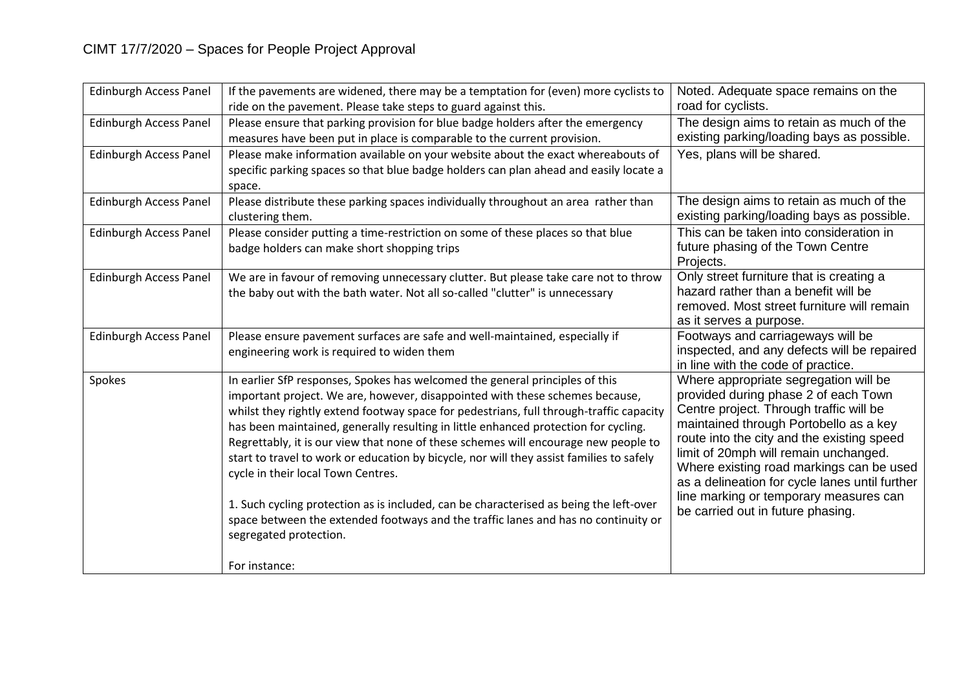| <b>Edinburgh Access Panel</b> | If the pavements are widened, there may be a temptation for (even) more cyclists to<br>ride on the pavement. Please take steps to guard against this.                                                                                                                                                                                                                                                                                                                                                                                                                                                                                                                                                                                                                             | Noted. Adequate space remains on the<br>road for cyclists.                                                                                                                                                                                                                                                                                                                                                                             |
|-------------------------------|-----------------------------------------------------------------------------------------------------------------------------------------------------------------------------------------------------------------------------------------------------------------------------------------------------------------------------------------------------------------------------------------------------------------------------------------------------------------------------------------------------------------------------------------------------------------------------------------------------------------------------------------------------------------------------------------------------------------------------------------------------------------------------------|----------------------------------------------------------------------------------------------------------------------------------------------------------------------------------------------------------------------------------------------------------------------------------------------------------------------------------------------------------------------------------------------------------------------------------------|
| <b>Edinburgh Access Panel</b> | Please ensure that parking provision for blue badge holders after the emergency<br>measures have been put in place is comparable to the current provision.                                                                                                                                                                                                                                                                                                                                                                                                                                                                                                                                                                                                                        | The design aims to retain as much of the<br>existing parking/loading bays as possible.                                                                                                                                                                                                                                                                                                                                                 |
| <b>Edinburgh Access Panel</b> | Please make information available on your website about the exact whereabouts of<br>specific parking spaces so that blue badge holders can plan ahead and easily locate a<br>space.                                                                                                                                                                                                                                                                                                                                                                                                                                                                                                                                                                                               | Yes, plans will be shared.                                                                                                                                                                                                                                                                                                                                                                                                             |
| <b>Edinburgh Access Panel</b> | Please distribute these parking spaces individually throughout an area rather than<br>clustering them.                                                                                                                                                                                                                                                                                                                                                                                                                                                                                                                                                                                                                                                                            | The design aims to retain as much of the<br>existing parking/loading bays as possible.                                                                                                                                                                                                                                                                                                                                                 |
| <b>Edinburgh Access Panel</b> | Please consider putting a time-restriction on some of these places so that blue<br>badge holders can make short shopping trips                                                                                                                                                                                                                                                                                                                                                                                                                                                                                                                                                                                                                                                    | This can be taken into consideration in<br>future phasing of the Town Centre<br>Projects.                                                                                                                                                                                                                                                                                                                                              |
| <b>Edinburgh Access Panel</b> | We are in favour of removing unnecessary clutter. But please take care not to throw<br>the baby out with the bath water. Not all so-called "clutter" is unnecessary                                                                                                                                                                                                                                                                                                                                                                                                                                                                                                                                                                                                               | Only street furniture that is creating a<br>hazard rather than a benefit will be<br>removed. Most street furniture will remain<br>as it serves a purpose.                                                                                                                                                                                                                                                                              |
| <b>Edinburgh Access Panel</b> | Please ensure pavement surfaces are safe and well-maintained, especially if<br>engineering work is required to widen them                                                                                                                                                                                                                                                                                                                                                                                                                                                                                                                                                                                                                                                         | Footways and carriageways will be<br>inspected, and any defects will be repaired<br>in line with the code of practice.                                                                                                                                                                                                                                                                                                                 |
| Spokes                        | In earlier SfP responses, Spokes has welcomed the general principles of this<br>important project. We are, however, disappointed with these schemes because,<br>whilst they rightly extend footway space for pedestrians, full through-traffic capacity<br>has been maintained, generally resulting in little enhanced protection for cycling.<br>Regrettably, it is our view that none of these schemes will encourage new people to<br>start to travel to work or education by bicycle, nor will they assist families to safely<br>cycle in their local Town Centres.<br>1. Such cycling protection as is included, can be characterised as being the left-over<br>space between the extended footways and the traffic lanes and has no continuity or<br>segregated protection. | Where appropriate segregation will be<br>provided during phase 2 of each Town<br>Centre project. Through traffic will be<br>maintained through Portobello as a key<br>route into the city and the existing speed<br>limit of 20mph will remain unchanged.<br>Where existing road markings can be used<br>as a delineation for cycle lanes until further<br>line marking or temporary measures can<br>be carried out in future phasing. |
|                               | For instance:                                                                                                                                                                                                                                                                                                                                                                                                                                                                                                                                                                                                                                                                                                                                                                     |                                                                                                                                                                                                                                                                                                                                                                                                                                        |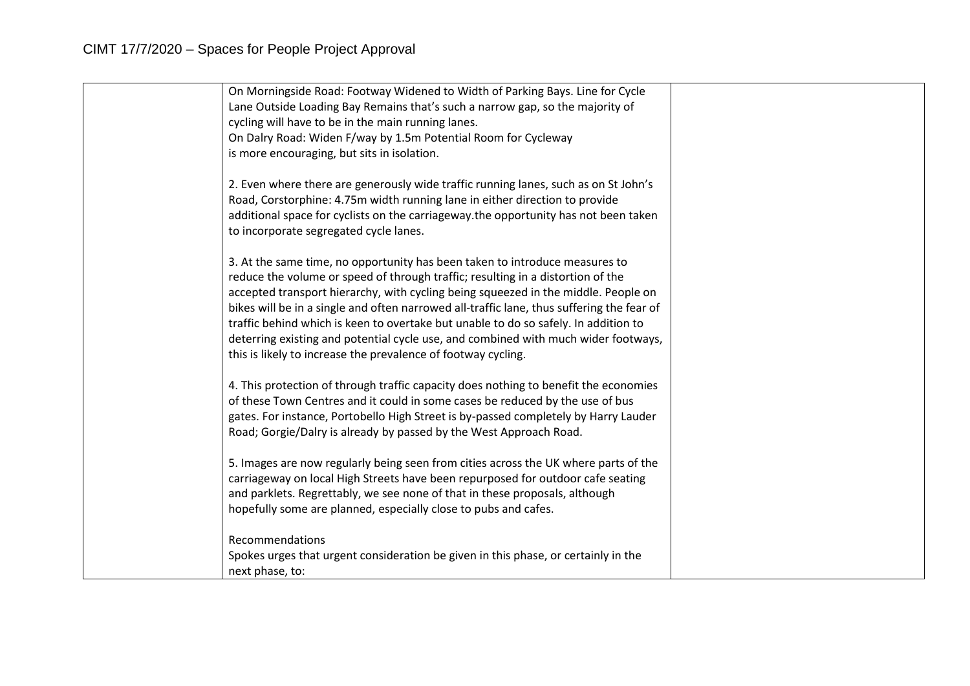| On Morningside Road: Footway Widened to Width of Parking Bays. Line for Cycle             |  |
|-------------------------------------------------------------------------------------------|--|
| Lane Outside Loading Bay Remains that's such a narrow gap, so the majority of             |  |
| cycling will have to be in the main running lanes.                                        |  |
| On Dalry Road: Widen F/way by 1.5m Potential Room for Cycleway                            |  |
| is more encouraging, but sits in isolation.                                               |  |
|                                                                                           |  |
| 2. Even where there are generously wide traffic running lanes, such as on St John's       |  |
| Road, Corstorphine: 4.75m width running lane in either direction to provide               |  |
| additional space for cyclists on the carriageway. the opportunity has not been taken      |  |
| to incorporate segregated cycle lanes.                                                    |  |
|                                                                                           |  |
| 3. At the same time, no opportunity has been taken to introduce measures to               |  |
| reduce the volume or speed of through traffic; resulting in a distortion of the           |  |
| accepted transport hierarchy, with cycling being squeezed in the middle. People on        |  |
| bikes will be in a single and often narrowed all-traffic lane, thus suffering the fear of |  |
| traffic behind which is keen to overtake but unable to do so safely. In addition to       |  |
| deterring existing and potential cycle use, and combined with much wider footways,        |  |
| this is likely to increase the prevalence of footway cycling.                             |  |
|                                                                                           |  |
| 4. This protection of through traffic capacity does nothing to benefit the economies      |  |
| of these Town Centres and it could in some cases be reduced by the use of bus             |  |
| gates. For instance, Portobello High Street is by-passed completely by Harry Lauder       |  |
| Road; Gorgie/Dalry is already by passed by the West Approach Road.                        |  |
| 5. Images are now regularly being seen from cities across the UK where parts of the       |  |
| carriageway on local High Streets have been repurposed for outdoor cafe seating           |  |
| and parklets. Regrettably, we see none of that in these proposals, although               |  |
| hopefully some are planned, especially close to pubs and cafes.                           |  |
|                                                                                           |  |
| Recommendations                                                                           |  |
| Spokes urges that urgent consideration be given in this phase, or certainly in the        |  |
| next phase, to:                                                                           |  |
|                                                                                           |  |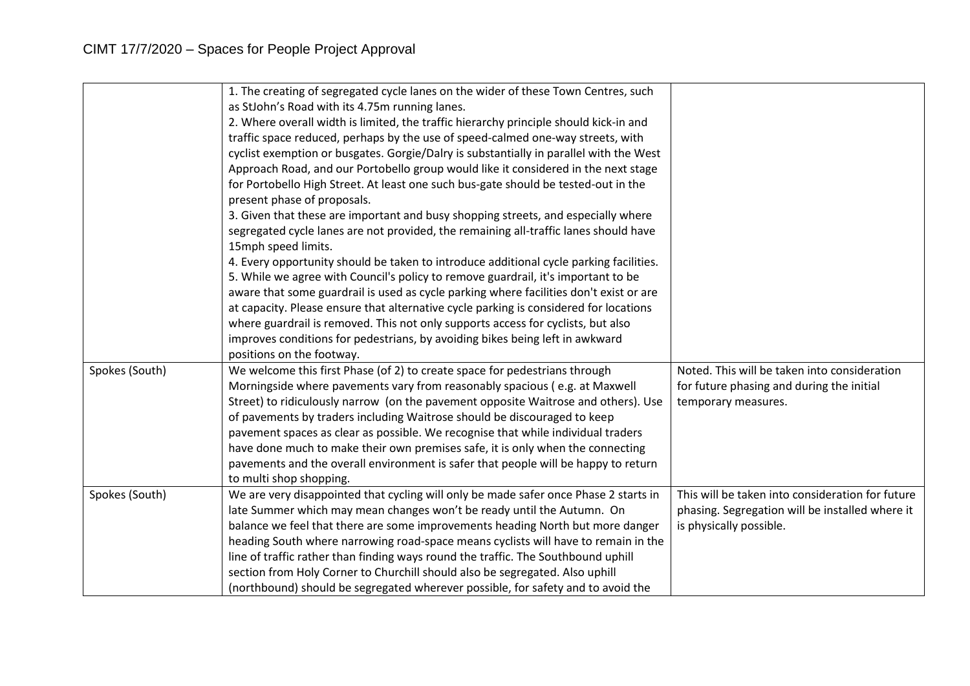|                | 1. The creating of segregated cycle lanes on the wider of these Town Centres, such     |                                                  |
|----------------|----------------------------------------------------------------------------------------|--------------------------------------------------|
|                | as StJohn's Road with its 4.75m running lanes.                                         |                                                  |
|                | 2. Where overall width is limited, the traffic hierarchy principle should kick-in and  |                                                  |
|                | traffic space reduced, perhaps by the use of speed-calmed one-way streets, with        |                                                  |
|                | cyclist exemption or busgates. Gorgie/Dalry is substantially in parallel with the West |                                                  |
|                | Approach Road, and our Portobello group would like it considered in the next stage     |                                                  |
|                | for Portobello High Street. At least one such bus-gate should be tested-out in the     |                                                  |
|                | present phase of proposals.                                                            |                                                  |
|                | 3. Given that these are important and busy shopping streets, and especially where      |                                                  |
|                | segregated cycle lanes are not provided, the remaining all-traffic lanes should have   |                                                  |
|                | 15mph speed limits.                                                                    |                                                  |
|                | 4. Every opportunity should be taken to introduce additional cycle parking facilities. |                                                  |
|                | 5. While we agree with Council's policy to remove guardrail, it's important to be      |                                                  |
|                | aware that some guardrail is used as cycle parking where facilities don't exist or are |                                                  |
|                | at capacity. Please ensure that alternative cycle parking is considered for locations  |                                                  |
|                | where guardrail is removed. This not only supports access for cyclists, but also       |                                                  |
|                | improves conditions for pedestrians, by avoiding bikes being left in awkward           |                                                  |
|                | positions on the footway.                                                              |                                                  |
| Spokes (South) | We welcome this first Phase (of 2) to create space for pedestrians through             | Noted. This will be taken into consideration     |
|                | Morningside where pavements vary from reasonably spacious (e.g. at Maxwell             | for future phasing and during the initial        |
|                | Street) to ridiculously narrow (on the pavement opposite Waitrose and others). Use     | temporary measures.                              |
|                | of pavements by traders including Waitrose should be discouraged to keep               |                                                  |
|                | pavement spaces as clear as possible. We recognise that while individual traders       |                                                  |
|                | have done much to make their own premises safe, it is only when the connecting         |                                                  |
|                | pavements and the overall environment is safer that people will be happy to return     |                                                  |
|                | to multi shop shopping.                                                                |                                                  |
| Spokes (South) | We are very disappointed that cycling will only be made safer once Phase 2 starts in   | This will be taken into consideration for future |
|                | late Summer which may mean changes won't be ready until the Autumn. On                 | phasing. Segregation will be installed where it  |
|                | balance we feel that there are some improvements heading North but more danger         | is physically possible.                          |
|                | heading South where narrowing road-space means cyclists will have to remain in the     |                                                  |
|                | line of traffic rather than finding ways round the traffic. The Southbound uphill      |                                                  |
|                | section from Holy Corner to Churchill should also be segregated. Also uphill           |                                                  |
|                | (northbound) should be segregated wherever possible, for safety and to avoid the       |                                                  |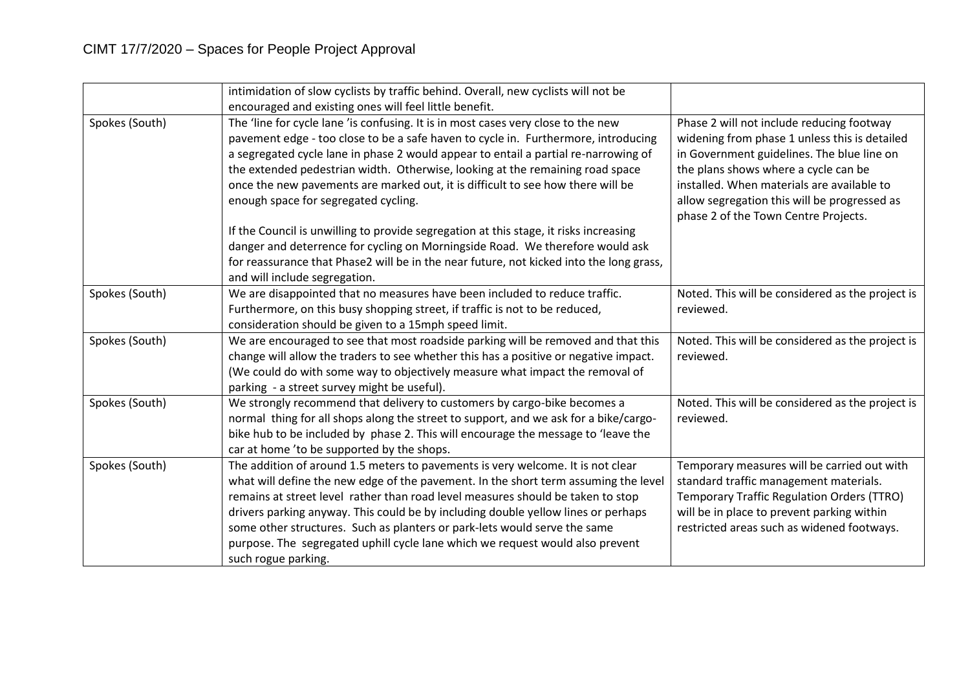|                | intimidation of slow cyclists by traffic behind. Overall, new cyclists will not be<br>encouraged and existing ones will feel little benefit.                                                                                                                                                                                                                                                                                                                                                                                        |                                                                                                                                                                                                                                                                                                                        |
|----------------|-------------------------------------------------------------------------------------------------------------------------------------------------------------------------------------------------------------------------------------------------------------------------------------------------------------------------------------------------------------------------------------------------------------------------------------------------------------------------------------------------------------------------------------|------------------------------------------------------------------------------------------------------------------------------------------------------------------------------------------------------------------------------------------------------------------------------------------------------------------------|
| Spokes (South) | The 'line for cycle lane 'is confusing. It is in most cases very close to the new<br>pavement edge - too close to be a safe haven to cycle in. Furthermore, introducing<br>a segregated cycle lane in phase 2 would appear to entail a partial re-narrowing of<br>the extended pedestrian width. Otherwise, looking at the remaining road space<br>once the new pavements are marked out, it is difficult to see how there will be<br>enough space for segregated cycling.                                                          | Phase 2 will not include reducing footway<br>widening from phase 1 unless this is detailed<br>in Government guidelines. The blue line on<br>the plans shows where a cycle can be<br>installed. When materials are available to<br>allow segregation this will be progressed as<br>phase 2 of the Town Centre Projects. |
|                | If the Council is unwilling to provide segregation at this stage, it risks increasing<br>danger and deterrence for cycling on Morningside Road. We therefore would ask<br>for reassurance that Phase2 will be in the near future, not kicked into the long grass,<br>and will include segregation.                                                                                                                                                                                                                                  |                                                                                                                                                                                                                                                                                                                        |
| Spokes (South) | We are disappointed that no measures have been included to reduce traffic.<br>Furthermore, on this busy shopping street, if traffic is not to be reduced,<br>consideration should be given to a 15mph speed limit.                                                                                                                                                                                                                                                                                                                  | Noted. This will be considered as the project is<br>reviewed.                                                                                                                                                                                                                                                          |
| Spokes (South) | We are encouraged to see that most roadside parking will be removed and that this<br>change will allow the traders to see whether this has a positive or negative impact.<br>(We could do with some way to objectively measure what impact the removal of<br>parking - a street survey might be useful).                                                                                                                                                                                                                            | Noted. This will be considered as the project is<br>reviewed.                                                                                                                                                                                                                                                          |
| Spokes (South) | We strongly recommend that delivery to customers by cargo-bike becomes a<br>normal thing for all shops along the street to support, and we ask for a bike/cargo-<br>bike hub to be included by phase 2. This will encourage the message to 'leave the<br>car at home 'to be supported by the shops.                                                                                                                                                                                                                                 | Noted. This will be considered as the project is<br>reviewed.                                                                                                                                                                                                                                                          |
| Spokes (South) | The addition of around 1.5 meters to pavements is very welcome. It is not clear<br>what will define the new edge of the pavement. In the short term assuming the level<br>remains at street level rather than road level measures should be taken to stop<br>drivers parking anyway. This could be by including double yellow lines or perhaps<br>some other structures. Such as planters or park-lets would serve the same<br>purpose. The segregated uphill cycle lane which we request would also prevent<br>such rogue parking. | Temporary measures will be carried out with<br>standard traffic management materials.<br><b>Temporary Traffic Regulation Orders (TTRO)</b><br>will be in place to prevent parking within<br>restricted areas such as widened footways.                                                                                 |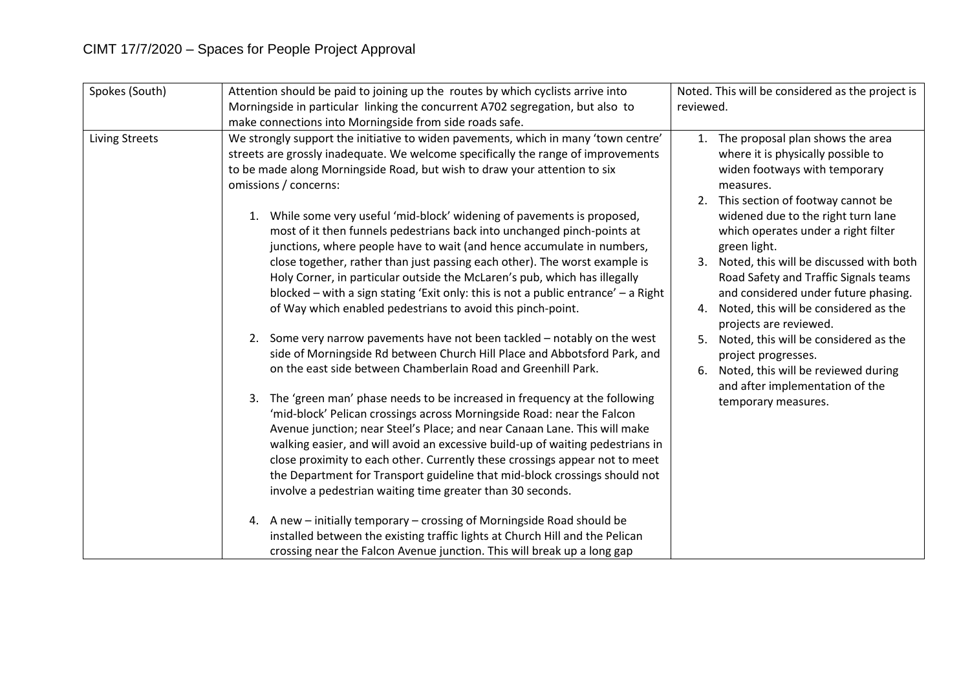| Spokes (South) | Attention should be paid to joining up the routes by which cyclists arrive into                                                                                                                                                                                                                                                                                                                                                                                                                                                                                                                                                                                                                                                                                                                                                                                                                                                                                                                                                                                                                                                                                                                                                                                                                                                                                                                                                                                | Noted. This will be considered as the project is                                                                                                                                                                                                                                                                                                                                                                                                                                                                                                                                                                                                     |
|----------------|----------------------------------------------------------------------------------------------------------------------------------------------------------------------------------------------------------------------------------------------------------------------------------------------------------------------------------------------------------------------------------------------------------------------------------------------------------------------------------------------------------------------------------------------------------------------------------------------------------------------------------------------------------------------------------------------------------------------------------------------------------------------------------------------------------------------------------------------------------------------------------------------------------------------------------------------------------------------------------------------------------------------------------------------------------------------------------------------------------------------------------------------------------------------------------------------------------------------------------------------------------------------------------------------------------------------------------------------------------------------------------------------------------------------------------------------------------------|------------------------------------------------------------------------------------------------------------------------------------------------------------------------------------------------------------------------------------------------------------------------------------------------------------------------------------------------------------------------------------------------------------------------------------------------------------------------------------------------------------------------------------------------------------------------------------------------------------------------------------------------------|
|                | Morningside in particular linking the concurrent A702 segregation, but also to                                                                                                                                                                                                                                                                                                                                                                                                                                                                                                                                                                                                                                                                                                                                                                                                                                                                                                                                                                                                                                                                                                                                                                                                                                                                                                                                                                                 | reviewed.                                                                                                                                                                                                                                                                                                                                                                                                                                                                                                                                                                                                                                            |
|                | make connections into Morningside from side roads safe.                                                                                                                                                                                                                                                                                                                                                                                                                                                                                                                                                                                                                                                                                                                                                                                                                                                                                                                                                                                                                                                                                                                                                                                                                                                                                                                                                                                                        |                                                                                                                                                                                                                                                                                                                                                                                                                                                                                                                                                                                                                                                      |
| Living Streets | We strongly support the initiative to widen pavements, which in many 'town centre'<br>streets are grossly inadequate. We welcome specifically the range of improvements<br>to be made along Morningside Road, but wish to draw your attention to six<br>omissions / concerns:<br>While some very useful 'mid-block' widening of pavements is proposed,<br>most of it then funnels pedestrians back into unchanged pinch-points at<br>junctions, where people have to wait (and hence accumulate in numbers,<br>close together, rather than just passing each other). The worst example is<br>Holy Corner, in particular outside the McLaren's pub, which has illegally<br>blocked – with a sign stating 'Exit only: this is not a public entrance' – a Right<br>of Way which enabled pedestrians to avoid this pinch-point.<br>2. Some very narrow pavements have not been tackled - notably on the west<br>side of Morningside Rd between Church Hill Place and Abbotsford Park, and<br>on the east side between Chamberlain Road and Greenhill Park.<br>3. The 'green man' phase needs to be increased in frequency at the following<br>'mid-block' Pelican crossings across Morningside Road: near the Falcon<br>Avenue junction; near Steel's Place; and near Canaan Lane. This will make<br>walking easier, and will avoid an excessive build-up of waiting pedestrians in<br>close proximity to each other. Currently these crossings appear not to meet | 1. The proposal plan shows the area<br>where it is physically possible to<br>widen footways with temporary<br>measures.<br>2. This section of footway cannot be<br>widened due to the right turn lane<br>which operates under a right filter<br>green light.<br>Noted, this will be discussed with both<br>3.<br>Road Safety and Traffic Signals teams<br>and considered under future phasing.<br>Noted, this will be considered as the<br>4.<br>projects are reviewed.<br>Noted, this will be considered as the<br>5.<br>project progresses.<br>Noted, this will be reviewed during<br>6.<br>and after implementation of the<br>temporary measures. |
|                | the Department for Transport guideline that mid-block crossings should not<br>involve a pedestrian waiting time greater than 30 seconds.                                                                                                                                                                                                                                                                                                                                                                                                                                                                                                                                                                                                                                                                                                                                                                                                                                                                                                                                                                                                                                                                                                                                                                                                                                                                                                                       |                                                                                                                                                                                                                                                                                                                                                                                                                                                                                                                                                                                                                                                      |
|                | A new - initially temporary - crossing of Morningside Road should be<br>4.<br>installed between the existing traffic lights at Church Hill and the Pelican<br>crossing near the Falcon Avenue junction. This will break up a long gap                                                                                                                                                                                                                                                                                                                                                                                                                                                                                                                                                                                                                                                                                                                                                                                                                                                                                                                                                                                                                                                                                                                                                                                                                          |                                                                                                                                                                                                                                                                                                                                                                                                                                                                                                                                                                                                                                                      |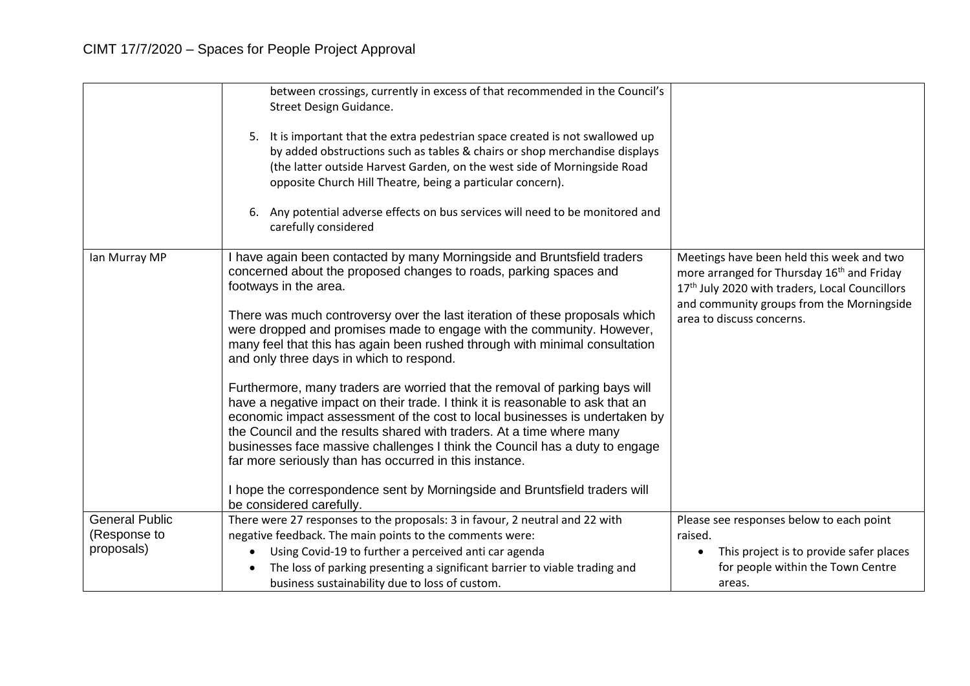|                       | between crossings, currently in excess of that recommended in the Council's<br>Street Design Guidance.<br>5. It is important that the extra pedestrian space created is not swallowed up<br>by added obstructions such as tables & chairs or shop merchandise displays<br>(the latter outside Harvest Garden, on the west side of Morningside Road<br>opposite Church Hill Theatre, being a particular concern).<br>Any potential adverse effects on bus services will need to be monitored and<br>carefully considered                                                                                                                                                                                                                                                                                                                                                                                                                                                                                                              |                                                                                                                                                                                                                                             |
|-----------------------|--------------------------------------------------------------------------------------------------------------------------------------------------------------------------------------------------------------------------------------------------------------------------------------------------------------------------------------------------------------------------------------------------------------------------------------------------------------------------------------------------------------------------------------------------------------------------------------------------------------------------------------------------------------------------------------------------------------------------------------------------------------------------------------------------------------------------------------------------------------------------------------------------------------------------------------------------------------------------------------------------------------------------------------|---------------------------------------------------------------------------------------------------------------------------------------------------------------------------------------------------------------------------------------------|
| Ian Murray MP         | I have again been contacted by many Morningside and Bruntsfield traders<br>concerned about the proposed changes to roads, parking spaces and<br>footways in the area.<br>There was much controversy over the last iteration of these proposals which<br>were dropped and promises made to engage with the community. However,<br>many feel that this has again been rushed through with minimal consultation<br>and only three days in which to respond.<br>Furthermore, many traders are worried that the removal of parking bays will<br>have a negative impact on their trade. I think it is reasonable to ask that an<br>economic impact assessment of the cost to local businesses is undertaken by<br>the Council and the results shared with traders. At a time where many<br>businesses face massive challenges I think the Council has a duty to engage<br>far more seriously than has occurred in this instance.<br>I hope the correspondence sent by Morningside and Bruntsfield traders will<br>be considered carefully. | Meetings have been held this week and two<br>more arranged for Thursday 16 <sup>th</sup> and Friday<br>17 <sup>th</sup> July 2020 with traders, Local Councillors<br>and community groups from the Morningside<br>area to discuss concerns. |
| <b>General Public</b> | There were 27 responses to the proposals: 3 in favour, 2 neutral and 22 with                                                                                                                                                                                                                                                                                                                                                                                                                                                                                                                                                                                                                                                                                                                                                                                                                                                                                                                                                         | Please see responses below to each point                                                                                                                                                                                                    |
| (Response to          | negative feedback. The main points to the comments were:                                                                                                                                                                                                                                                                                                                                                                                                                                                                                                                                                                                                                                                                                                                                                                                                                                                                                                                                                                             | raised.                                                                                                                                                                                                                                     |
| proposals)            | Using Covid-19 to further a perceived anti car agenda                                                                                                                                                                                                                                                                                                                                                                                                                                                                                                                                                                                                                                                                                                                                                                                                                                                                                                                                                                                | This project is to provide safer places                                                                                                                                                                                                     |
|                       | The loss of parking presenting a significant barrier to viable trading and                                                                                                                                                                                                                                                                                                                                                                                                                                                                                                                                                                                                                                                                                                                                                                                                                                                                                                                                                           | for people within the Town Centre                                                                                                                                                                                                           |
|                       | business sustainability due to loss of custom.                                                                                                                                                                                                                                                                                                                                                                                                                                                                                                                                                                                                                                                                                                                                                                                                                                                                                                                                                                                       | areas.                                                                                                                                                                                                                                      |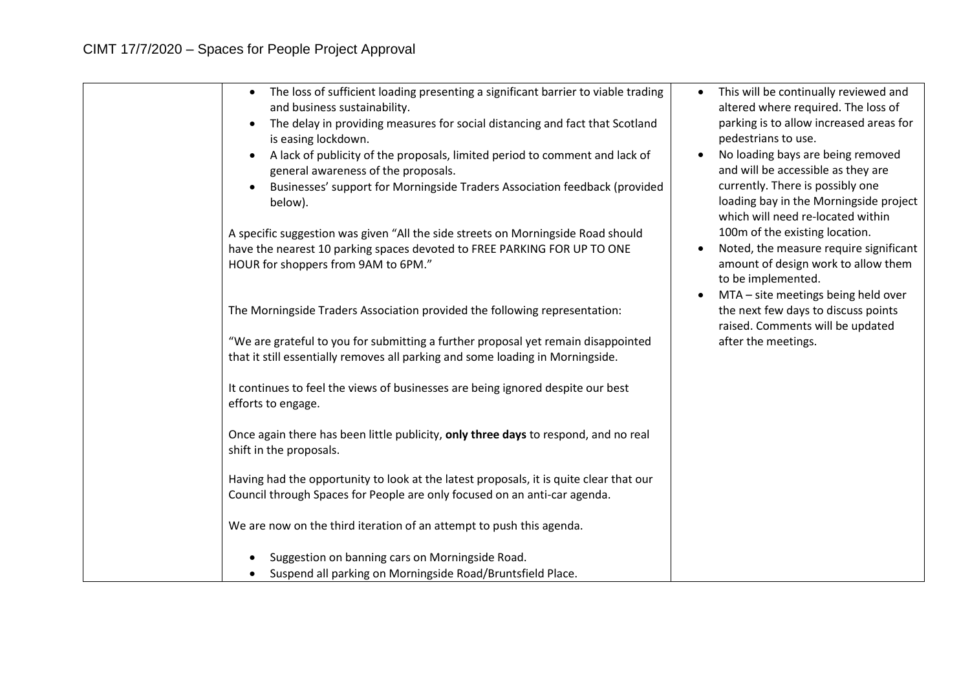| The loss of sufficient loading presenting a significant barrier to viable trading<br>$\bullet$<br>and business sustainability.<br>The delay in providing measures for social distancing and fact that Scotland<br>is easing lockdown.<br>A lack of publicity of the proposals, limited period to comment and lack of<br>general awareness of the proposals.<br>Businesses' support for Morningside Traders Association feedback (provided<br>below). | This will be continually reviewed and<br>$\bullet$<br>altered where required. The loss of<br>parking is to allow increased areas for<br>pedestrians to use.<br>No loading bays are being removed<br>and will be accessible as they are<br>currently. There is possibly one<br>loading bay in the Morningside project<br>which will need re-located within<br>100m of the existing location.<br>Noted, the measure require significant<br>amount of design work to allow them<br>to be implemented.<br>MTA - site meetings being held over |
|------------------------------------------------------------------------------------------------------------------------------------------------------------------------------------------------------------------------------------------------------------------------------------------------------------------------------------------------------------------------------------------------------------------------------------------------------|-------------------------------------------------------------------------------------------------------------------------------------------------------------------------------------------------------------------------------------------------------------------------------------------------------------------------------------------------------------------------------------------------------------------------------------------------------------------------------------------------------------------------------------------|
| A specific suggestion was given "All the side streets on Morningside Road should<br>have the nearest 10 parking spaces devoted to FREE PARKING FOR UP TO ONE<br>HOUR for shoppers from 9AM to 6PM."                                                                                                                                                                                                                                                  |                                                                                                                                                                                                                                                                                                                                                                                                                                                                                                                                           |
| The Morningside Traders Association provided the following representation:                                                                                                                                                                                                                                                                                                                                                                           | the next few days to discuss points<br>raised. Comments will be updated                                                                                                                                                                                                                                                                                                                                                                                                                                                                   |
| "We are grateful to you for submitting a further proposal yet remain disappointed<br>that it still essentially removes all parking and some loading in Morningside.                                                                                                                                                                                                                                                                                  | after the meetings.                                                                                                                                                                                                                                                                                                                                                                                                                                                                                                                       |
| It continues to feel the views of businesses are being ignored despite our best<br>efforts to engage.                                                                                                                                                                                                                                                                                                                                                |                                                                                                                                                                                                                                                                                                                                                                                                                                                                                                                                           |
| Once again there has been little publicity, only three days to respond, and no real<br>shift in the proposals.                                                                                                                                                                                                                                                                                                                                       |                                                                                                                                                                                                                                                                                                                                                                                                                                                                                                                                           |
| Having had the opportunity to look at the latest proposals, it is quite clear that our<br>Council through Spaces for People are only focused on an anti-car agenda.                                                                                                                                                                                                                                                                                  |                                                                                                                                                                                                                                                                                                                                                                                                                                                                                                                                           |
| We are now on the third iteration of an attempt to push this agenda.                                                                                                                                                                                                                                                                                                                                                                                 |                                                                                                                                                                                                                                                                                                                                                                                                                                                                                                                                           |
| Suggestion on banning cars on Morningside Road.                                                                                                                                                                                                                                                                                                                                                                                                      |                                                                                                                                                                                                                                                                                                                                                                                                                                                                                                                                           |
| Suspend all parking on Morningside Road/Bruntsfield Place.                                                                                                                                                                                                                                                                                                                                                                                           |                                                                                                                                                                                                                                                                                                                                                                                                                                                                                                                                           |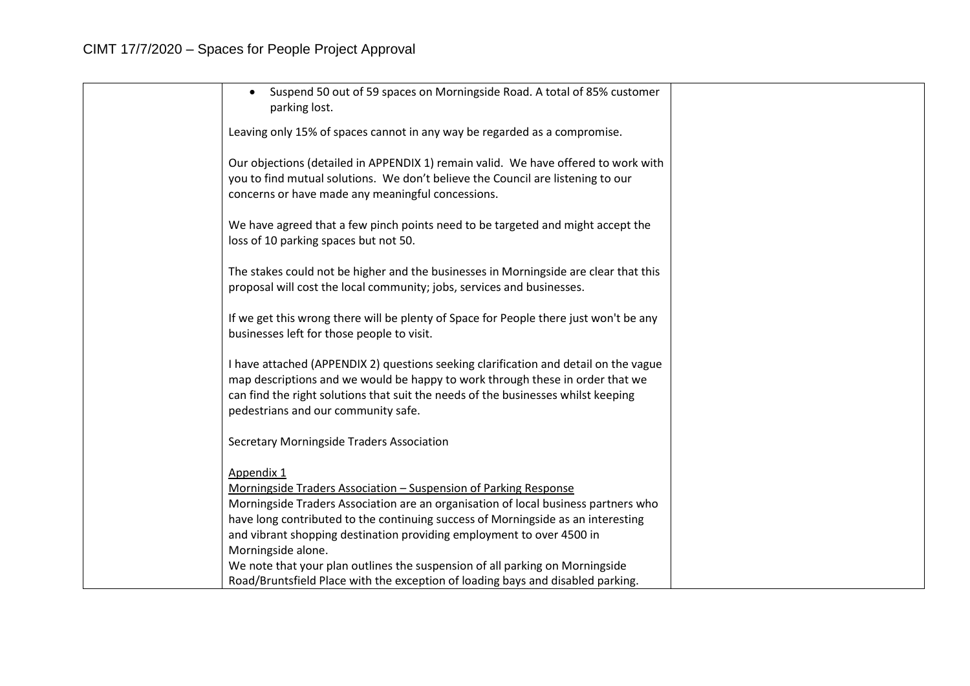| Suspend 50 out of 59 spaces on Morningside Road. A total of 85% customer<br>parking lost.                                                                                                                                                                                                         |  |
|---------------------------------------------------------------------------------------------------------------------------------------------------------------------------------------------------------------------------------------------------------------------------------------------------|--|
| Leaving only 15% of spaces cannot in any way be regarded as a compromise.                                                                                                                                                                                                                         |  |
| Our objections (detailed in APPENDIX 1) remain valid. We have offered to work with<br>you to find mutual solutions. We don't believe the Council are listening to our<br>concerns or have made any meaningful concessions.                                                                        |  |
| We have agreed that a few pinch points need to be targeted and might accept the<br>loss of 10 parking spaces but not 50.                                                                                                                                                                          |  |
| The stakes could not be higher and the businesses in Morningside are clear that this<br>proposal will cost the local community; jobs, services and businesses.                                                                                                                                    |  |
| If we get this wrong there will be plenty of Space for People there just won't be any<br>businesses left for those people to visit.                                                                                                                                                               |  |
| I have attached (APPENDIX 2) questions seeking clarification and detail on the vague<br>map descriptions and we would be happy to work through these in order that we<br>can find the right solutions that suit the needs of the businesses whilst keeping<br>pedestrians and our community safe. |  |
| <b>Secretary Morningside Traders Association</b>                                                                                                                                                                                                                                                  |  |
| Appendix 1<br>Morningside Traders Association - Suspension of Parking Response<br>Morningside Traders Association are an organisation of local business partners who                                                                                                                              |  |
| have long contributed to the continuing success of Morningside as an interesting                                                                                                                                                                                                                  |  |
| and vibrant shopping destination providing employment to over 4500 in<br>Morningside alone.                                                                                                                                                                                                       |  |
| We note that your plan outlines the suspension of all parking on Morningside<br>Road/Bruntsfield Place with the exception of loading bays and disabled parking.                                                                                                                                   |  |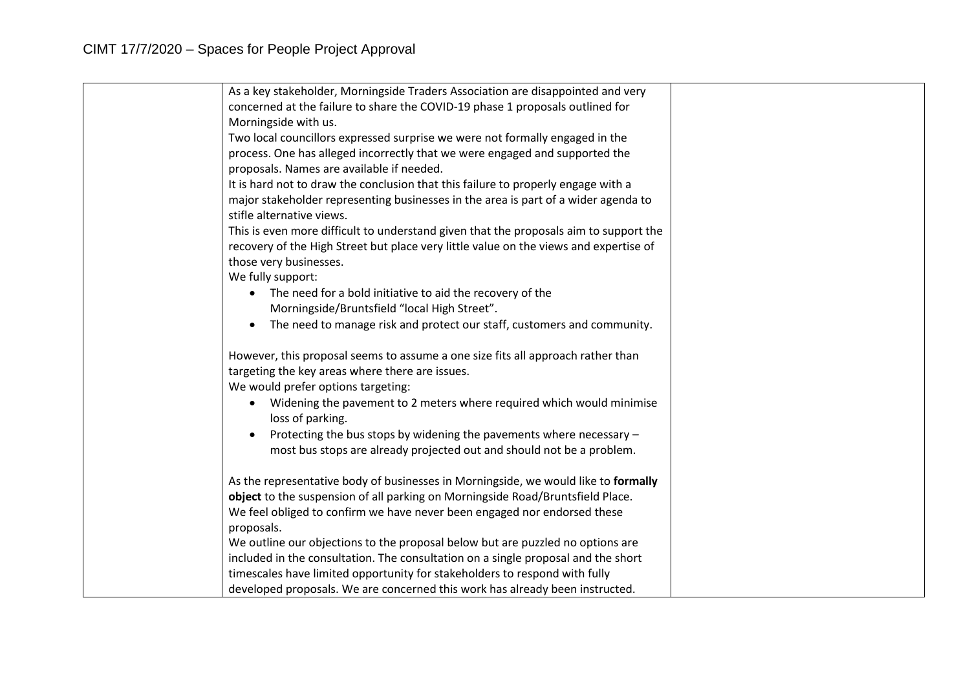| As a key stakeholder, Morningside Traders Association are disappointed and very       |  |
|---------------------------------------------------------------------------------------|--|
| concerned at the failure to share the COVID-19 phase 1 proposals outlined for         |  |
| Morningside with us.                                                                  |  |
| Two local councillors expressed surprise we were not formally engaged in the          |  |
| process. One has alleged incorrectly that we were engaged and supported the           |  |
| proposals. Names are available if needed.                                             |  |
| It is hard not to draw the conclusion that this failure to properly engage with a     |  |
| major stakeholder representing businesses in the area is part of a wider agenda to    |  |
| stifle alternative views.                                                             |  |
| This is even more difficult to understand given that the proposals aim to support the |  |
| recovery of the High Street but place very little value on the views and expertise of |  |
| those very businesses.                                                                |  |
| We fully support:                                                                     |  |
| The need for a bold initiative to aid the recovery of the<br>$\bullet$                |  |
| Morningside/Bruntsfield "local High Street".                                          |  |
| The need to manage risk and protect our staff, customers and community.               |  |
|                                                                                       |  |
| However, this proposal seems to assume a one size fits all approach rather than       |  |
| targeting the key areas where there are issues.                                       |  |
| We would prefer options targeting:                                                    |  |
| Widening the pavement to 2 meters where required which would minimise<br>$\bullet$    |  |
| loss of parking.                                                                      |  |
| Protecting the bus stops by widening the pavements where necessary -                  |  |
| most bus stops are already projected out and should not be a problem.                 |  |
|                                                                                       |  |
| As the representative body of businesses in Morningside, we would like to formally    |  |
| object to the suspension of all parking on Morningside Road/Bruntsfield Place.        |  |
| We feel obliged to confirm we have never been engaged nor endorsed these              |  |
| proposals.                                                                            |  |
| We outline our objections to the proposal below but are puzzled no options are        |  |
| included in the consultation. The consultation on a single proposal and the short     |  |
| timescales have limited opportunity for stakeholders to respond with fully            |  |
| developed proposals. We are concerned this work has already been instructed.          |  |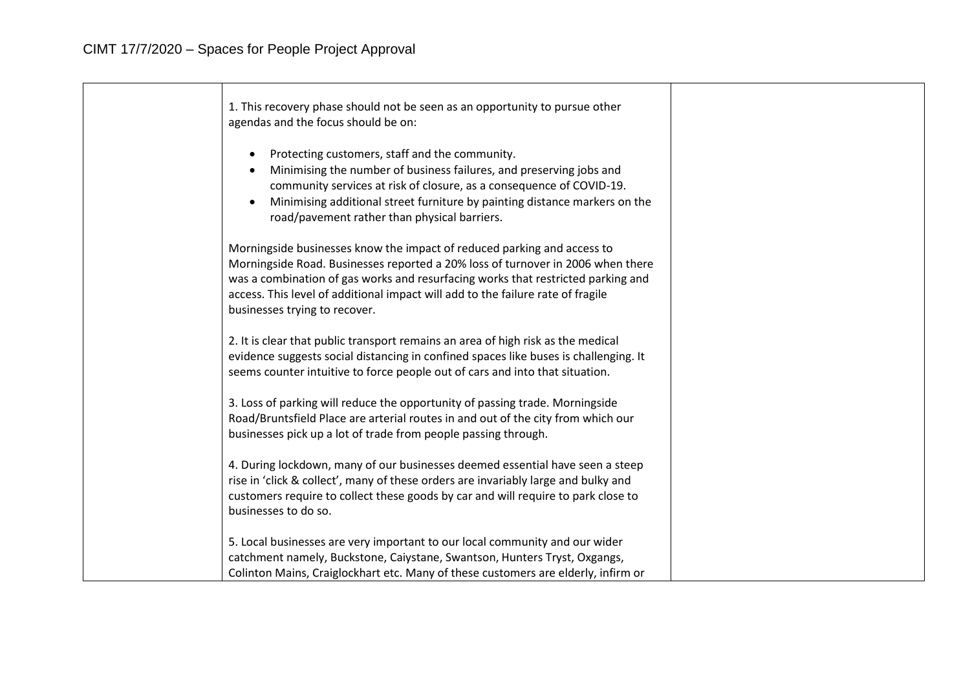| 1. This recovery phase should not be seen as an opportunity to pursue other<br>agendas and the focus should be on:                                                                                                                                                                                                                                                 |  |
|--------------------------------------------------------------------------------------------------------------------------------------------------------------------------------------------------------------------------------------------------------------------------------------------------------------------------------------------------------------------|--|
| Protecting customers, staff and the community.<br>Minimising the number of business failures, and preserving jobs and<br>community services at risk of closure, as a consequence of COVID-19.<br>Minimising additional street furniture by painting distance markers on the<br>$\bullet$<br>road/pavement rather than physical barriers.                           |  |
| Morningside businesses know the impact of reduced parking and access to<br>Morningside Road. Businesses reported a 20% loss of turnover in 2006 when there<br>was a combination of gas works and resurfacing works that restricted parking and<br>access. This level of additional impact will add to the failure rate of fragile<br>businesses trying to recover. |  |
| 2. It is clear that public transport remains an area of high risk as the medical<br>evidence suggests social distancing in confined spaces like buses is challenging. It<br>seems counter intuitive to force people out of cars and into that situation.                                                                                                           |  |
| 3. Loss of parking will reduce the opportunity of passing trade. Morningside<br>Road/Bruntsfield Place are arterial routes in and out of the city from which our<br>businesses pick up a lot of trade from people passing through.                                                                                                                                 |  |
| 4. During lockdown, many of our businesses deemed essential have seen a steep<br>rise in 'click & collect', many of these orders are invariably large and bulky and<br>customers require to collect these goods by car and will require to park close to<br>businesses to do so.                                                                                   |  |
| 5. Local businesses are very important to our local community and our wider<br>catchment namely, Buckstone, Caiystane, Swantson, Hunters Tryst, Oxgangs,<br>Colinton Mains, Craiglockhart etc. Many of these customers are elderly, infirm or                                                                                                                      |  |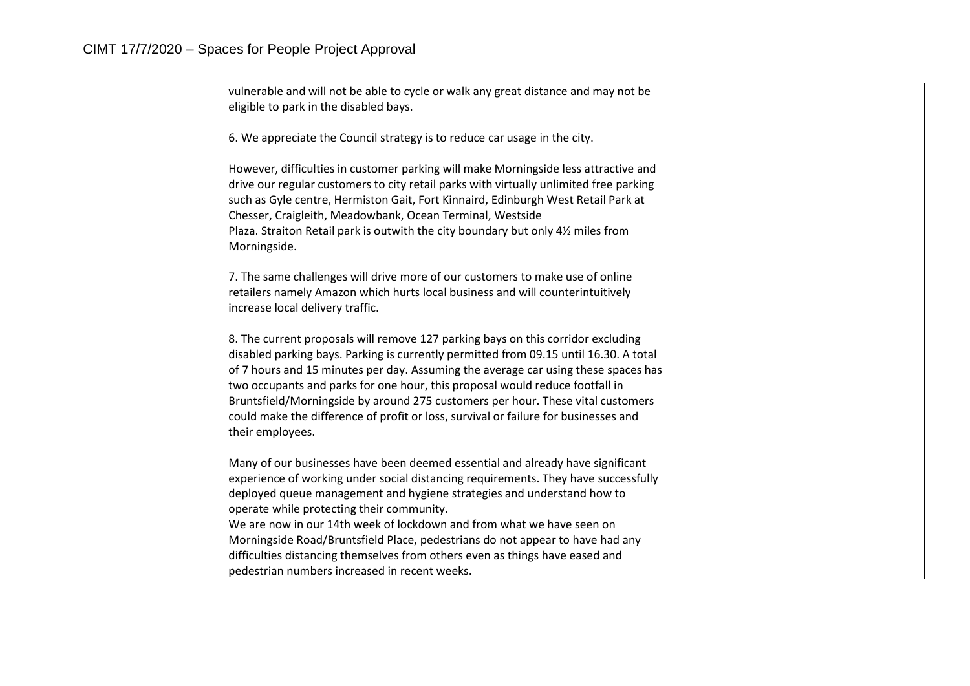| vulnerable and will not be able to cycle or walk any great distance and may not be     |  |
|----------------------------------------------------------------------------------------|--|
| eligible to park in the disabled bays.                                                 |  |
|                                                                                        |  |
| 6. We appreciate the Council strategy is to reduce car usage in the city.              |  |
|                                                                                        |  |
| However, difficulties in customer parking will make Morningside less attractive and    |  |
| drive our regular customers to city retail parks with virtually unlimited free parking |  |
| such as Gyle centre, Hermiston Gait, Fort Kinnaird, Edinburgh West Retail Park at      |  |
| Chesser, Craigleith, Meadowbank, Ocean Terminal, Westside                              |  |
| Plaza. Straiton Retail park is outwith the city boundary but only 41/2 miles from      |  |
| Morningside.                                                                           |  |
|                                                                                        |  |
| 7. The same challenges will drive more of our customers to make use of online          |  |
| retailers namely Amazon which hurts local business and will counterintuitively         |  |
| increase local delivery traffic.                                                       |  |
| 8. The current proposals will remove 127 parking bays on this corridor excluding       |  |
| disabled parking bays. Parking is currently permitted from 09.15 until 16.30. A total  |  |
| of 7 hours and 15 minutes per day. Assuming the average car using these spaces has     |  |
| two occupants and parks for one hour, this proposal would reduce footfall in           |  |
| Bruntsfield/Morningside by around 275 customers per hour. These vital customers        |  |
| could make the difference of profit or loss, survival or failure for businesses and    |  |
| their employees.                                                                       |  |
|                                                                                        |  |
| Many of our businesses have been deemed essential and already have significant         |  |
| experience of working under social distancing requirements. They have successfully     |  |
| deployed queue management and hygiene strategies and understand how to                 |  |
| operate while protecting their community.                                              |  |
| We are now in our 14th week of lockdown and from what we have seen on                  |  |
| Morningside Road/Bruntsfield Place, pedestrians do not appear to have had any          |  |
| difficulties distancing themselves from others even as things have eased and           |  |
| pedestrian numbers increased in recent weeks.                                          |  |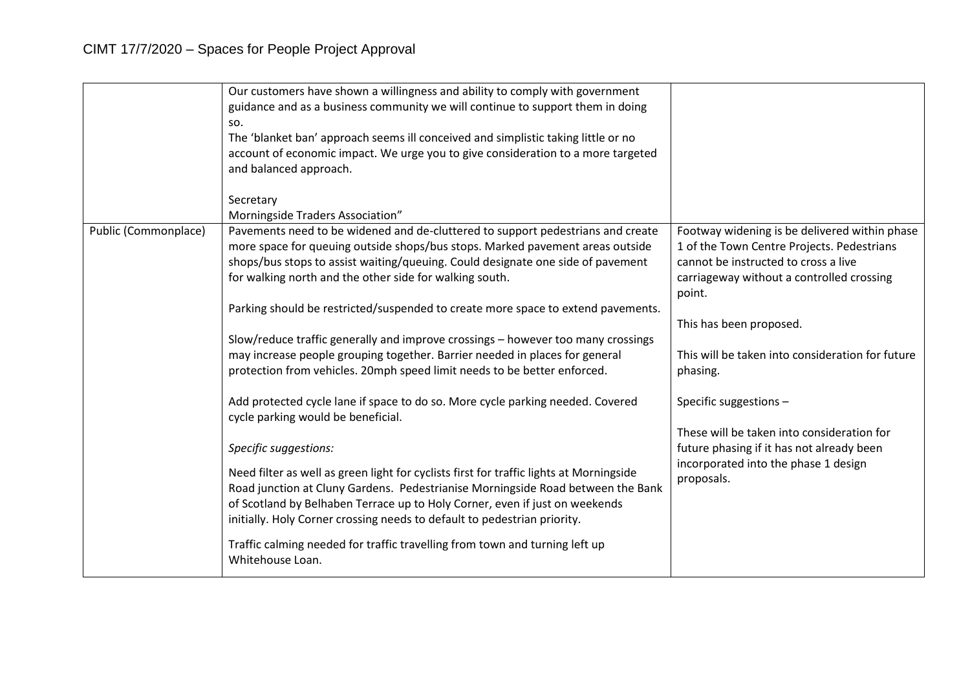|                      | Our customers have shown a willingness and ability to comply with government<br>guidance and as a business community we will continue to support them in doing<br>SO.<br>The 'blanket ban' approach seems ill conceived and simplistic taking little or no<br>account of economic impact. We urge you to give consideration to a more targeted<br>and balanced approach.                                                                                                                                                                                                                                                                                                                                                                                                                                                                                                                                                                                                                                                                                                                                                                                                                                                                       |                                                                                                                                                                                                                                                                                                                                                                                                                                                                  |
|----------------------|------------------------------------------------------------------------------------------------------------------------------------------------------------------------------------------------------------------------------------------------------------------------------------------------------------------------------------------------------------------------------------------------------------------------------------------------------------------------------------------------------------------------------------------------------------------------------------------------------------------------------------------------------------------------------------------------------------------------------------------------------------------------------------------------------------------------------------------------------------------------------------------------------------------------------------------------------------------------------------------------------------------------------------------------------------------------------------------------------------------------------------------------------------------------------------------------------------------------------------------------|------------------------------------------------------------------------------------------------------------------------------------------------------------------------------------------------------------------------------------------------------------------------------------------------------------------------------------------------------------------------------------------------------------------------------------------------------------------|
|                      | Secretary<br>Morningside Traders Association"                                                                                                                                                                                                                                                                                                                                                                                                                                                                                                                                                                                                                                                                                                                                                                                                                                                                                                                                                                                                                                                                                                                                                                                                  |                                                                                                                                                                                                                                                                                                                                                                                                                                                                  |
| Public (Commonplace) | Pavements need to be widened and de-cluttered to support pedestrians and create<br>more space for queuing outside shops/bus stops. Marked pavement areas outside<br>shops/bus stops to assist waiting/queuing. Could designate one side of pavement<br>for walking north and the other side for walking south.<br>Parking should be restricted/suspended to create more space to extend pavements.<br>Slow/reduce traffic generally and improve crossings - however too many crossings<br>may increase people grouping together. Barrier needed in places for general<br>protection from vehicles. 20mph speed limit needs to be better enforced.<br>Add protected cycle lane if space to do so. More cycle parking needed. Covered<br>cycle parking would be beneficial.<br>Specific suggestions:<br>Need filter as well as green light for cyclists first for traffic lights at Morningside<br>Road junction at Cluny Gardens. Pedestrianise Morningside Road between the Bank<br>of Scotland by Belhaben Terrace up to Holy Corner, even if just on weekends<br>initially. Holy Corner crossing needs to default to pedestrian priority.<br>Traffic calming needed for traffic travelling from town and turning left up<br>Whitehouse Loan. | Footway widening is be delivered within phase<br>1 of the Town Centre Projects. Pedestrians<br>cannot be instructed to cross a live<br>carriageway without a controlled crossing<br>point.<br>This has been proposed.<br>This will be taken into consideration for future<br>phasing.<br>Specific suggestions -<br>These will be taken into consideration for<br>future phasing if it has not already been<br>incorporated into the phase 1 design<br>proposals. |